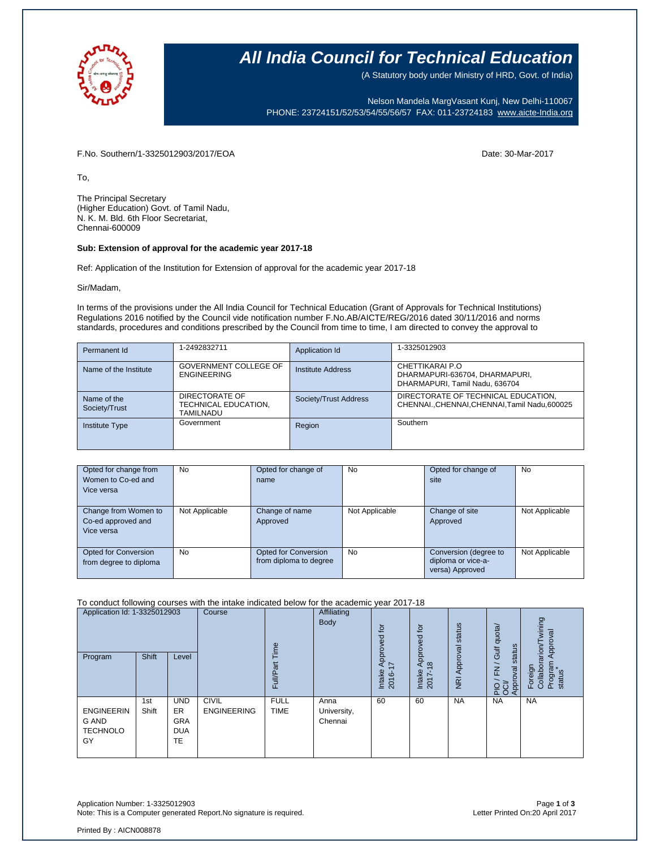

## **All India Council for Technical Education**

(A Statutory body under Ministry of HRD, Govt. of India)

Nelson Mandela MargVasant Kunj, New Delhi-110067 PHONE: 23724151/52/53/54/55/56/57 FAX: 011-23724183 [www.aicte-India.org](http://www.aicte-india.org/)

F.No. Southern/1-3325012903/2017/EOA Date: 30-Mar-2017

To,

The Principal Secretary (Higher Education) Govt. of Tamil Nadu, N. K. M. Bld. 6th Floor Secretariat, Chennai-600009

### **Sub: Extension of approval for the academic year 2017-18**

Ref: Application of the Institution for Extension of approval for the academic year 2017-18

Sir/Madam,

In terms of the provisions under the All India Council for Technical Education (Grant of Approvals for Technical Institutions) Regulations 2016 notified by the Council vide notification number F.No.AB/AICTE/REG/2016 dated 30/11/2016 and norms standards, procedures and conditions prescribed by the Council from time to time, I am directed to convey the approval to

| Permanent Id                 | 1-2492832711                                        | Application Id        | 1-3325012903                                                                        |
|------------------------------|-----------------------------------------------------|-----------------------|-------------------------------------------------------------------------------------|
| Name of the Institute        | GOVERNMENT COLLEGE OF<br><b>ENGINEERING</b>         | Institute Address     | CHETTIKARAI P.O<br>DHARMAPURI-636704, DHARMAPURI,<br>DHARMAPURI, Tamil Nadu, 636704 |
| Name of the<br>Society/Trust | DIRECTORATE OF<br>TECHNICAL EDUCATION,<br>TAMILNADU | Society/Trust Address | DIRECTORATE OF TECHNICAL EDUCATION,<br>CHENNAICHENNAI.CHENNAI.Tamil Nadu.600025     |
| <b>Institute Type</b>        | Government                                          | Region                | Southern                                                                            |

| Opted for change from<br>Women to Co-ed and<br>Vice versa | No             | Opted for change of<br>name                           | <b>No</b>      | Opted for change of<br>site                                    | <b>No</b>      |
|-----------------------------------------------------------|----------------|-------------------------------------------------------|----------------|----------------------------------------------------------------|----------------|
| Change from Women to<br>Co-ed approved and<br>Vice versa  | Not Applicable | Change of name<br>Approved                            | Not Applicable | Change of site<br>Approved                                     | Not Applicable |
| Opted for Conversion<br>from degree to diploma            | No             | <b>Opted for Conversion</b><br>from diploma to degree | <b>No</b>      | Conversion (degree to<br>diploma or vice-a-<br>versa) Approved | Not Applicable |

#### To conduct following courses with the intake indicated below for the academic year 2017-18

| Application Id: 1-3325012903<br>Program                    | Shift        | Level                                              | Course                             | euil<br>Full/Part          | Affiliating<br>Body            | tō<br>공<br>Approv<br>$\overline{\phantom{0}}$<br>Intake<br>2016- | <u>ۃ</u><br>roved<br>ā<br>$\infty$<br>⋖<br>Intake<br>2017- | status<br>Approval<br>$\overline{R}$ | Gulf quota/<br>status<br>$\overline{\phantom{0}}$<br>$\overline{K}$<br>Approval<br>운영 | wining<br>Approval<br>arion<br>Foreign<br>Collabora<br>Program<br>status |
|------------------------------------------------------------|--------------|----------------------------------------------------|------------------------------------|----------------------------|--------------------------------|------------------------------------------------------------------|------------------------------------------------------------|--------------------------------------|---------------------------------------------------------------------------------------|--------------------------------------------------------------------------|
| <b>ENGINEERIN</b><br><b>G AND</b><br><b>TECHNOLO</b><br>GY | 1st<br>Shift | <b>UND</b><br>ER<br><b>GRA</b><br><b>DUA</b><br>TE | <b>CIVIL</b><br><b>ENGINEERING</b> | <b>FULL</b><br><b>TIME</b> | Anna<br>University,<br>Chennai | 60                                                               | 60                                                         | <b>NA</b>                            | <b>NA</b>                                                                             | <b>NA</b>                                                                |

Application Number: 1-3325012903 Page **1** of **3** Note: This is a Computer generated Report. No signature is required.

Printed By : AICN008878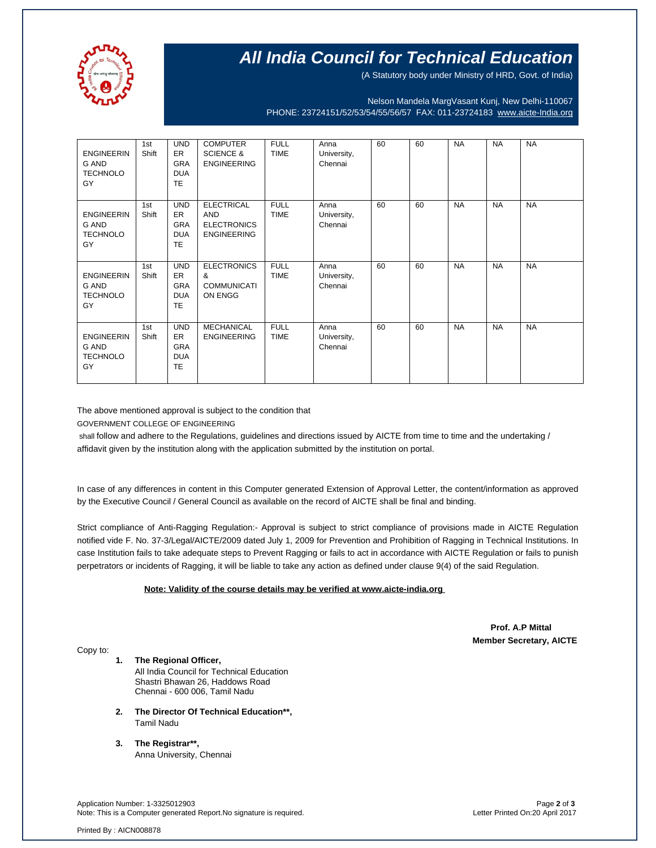

# **All India Council for Technical Education**

(A Statutory body under Ministry of HRD, Govt. of India)

Nelson Mandela MargVasant Kunj, New Delhi-110067 PHONE: 23724151/52/53/54/55/56/57 FAX: 011-23724183 [www.aicte-India.org](http://www.aicte-india.org/)

| <b>ENGINEERIN</b><br><b>G AND</b><br><b>TECHNOLO</b><br>GY | 1st<br>Shift | <b>UND</b><br><b>ER</b><br><b>GRA</b><br><b>DUA</b><br><b>TE</b> | <b>COMPUTER</b><br><b>SCIENCE &amp;</b><br><b>ENGINEERING</b>               | <b>FULL</b><br><b>TIME</b> | Anna<br>University,<br>Chennai | 60 | 60 | <b>NA</b> | <b>NA</b> | <b>NA</b> |
|------------------------------------------------------------|--------------|------------------------------------------------------------------|-----------------------------------------------------------------------------|----------------------------|--------------------------------|----|----|-----------|-----------|-----------|
| <b>ENGINEERIN</b><br><b>G AND</b><br><b>TECHNOLO</b><br>GY | 1st<br>Shift | <b>UND</b><br><b>ER</b><br><b>GRA</b><br><b>DUA</b><br><b>TE</b> | <b>ELECTRICAL</b><br><b>AND</b><br><b>ELECTRONICS</b><br><b>ENGINEERING</b> | <b>FULL</b><br><b>TIME</b> | Anna<br>University,<br>Chennai | 60 | 60 | <b>NA</b> | <b>NA</b> | <b>NA</b> |
| <b>ENGINEERIN</b><br>G AND<br><b>TECHNOLO</b><br>GY        | 1st<br>Shift | <b>UND</b><br><b>ER</b><br><b>GRA</b><br><b>DUA</b><br><b>TE</b> | <b>ELECTRONICS</b><br>&<br><b>COMMUNICATI</b><br>ON ENGG                    | <b>FULL</b><br><b>TIME</b> | Anna<br>University,<br>Chennai | 60 | 60 | <b>NA</b> | <b>NA</b> | <b>NA</b> |
| <b>ENGINEERIN</b><br><b>G AND</b><br><b>TECHNOLO</b><br>GY | 1st<br>Shift | <b>UND</b><br><b>ER</b><br><b>GRA</b><br><b>DUA</b><br><b>TE</b> | <b>MECHANICAL</b><br><b>ENGINEERING</b>                                     | <b>FULL</b><br><b>TIME</b> | Anna<br>University,<br>Chennai | 60 | 60 | <b>NA</b> | <b>NA</b> | <b>NA</b> |

The above mentioned approval is subject to the condition that

GOVERNMENT COLLEGE OF ENGINEERING

shall follow and adhere to the Regulations, guidelines and directions issued by AICTE from time to time and the undertaking / affidavit given by the institution along with the application submitted by the institution on portal.

In case of any differences in content in this Computer generated Extension of Approval Letter, the content/information as approved by the Executive Council / General Council as available on the record of AICTE shall be final and binding.

Strict compliance of Anti-Ragging Regulation:- Approval is subject to strict compliance of provisions made in AICTE Regulation notified vide F. No. 37-3/Legal/AICTE/2009 dated July 1, 2009 for Prevention and Prohibition of Ragging in Technical Institutions. In case Institution fails to take adequate steps to Prevent Ragging or fails to act in accordance with AICTE Regulation or fails to punish perpetrators or incidents of Ragging, it will be liable to take any action as defined under clause 9(4) of the said Regulation.

### **Note: Validity of the course details may be verified at www.aicte-india.org**

 **Prof. A.P Mittal Member Secretary, AICTE**

Copy to:

**1. The Regional Officer,**

All India Council for Technical Education Shastri Bhawan 26, Haddows Road Chennai - 600 006, Tamil Nadu

- **2. The Director Of Technical Education\*\*,** Tamil Nadu
- **3. The Registrar\*\*,** Anna University, Chennai

Application Number: 1-3325012903 Page **2** of **3** Note: This is a Computer generated Report.No signature is required.